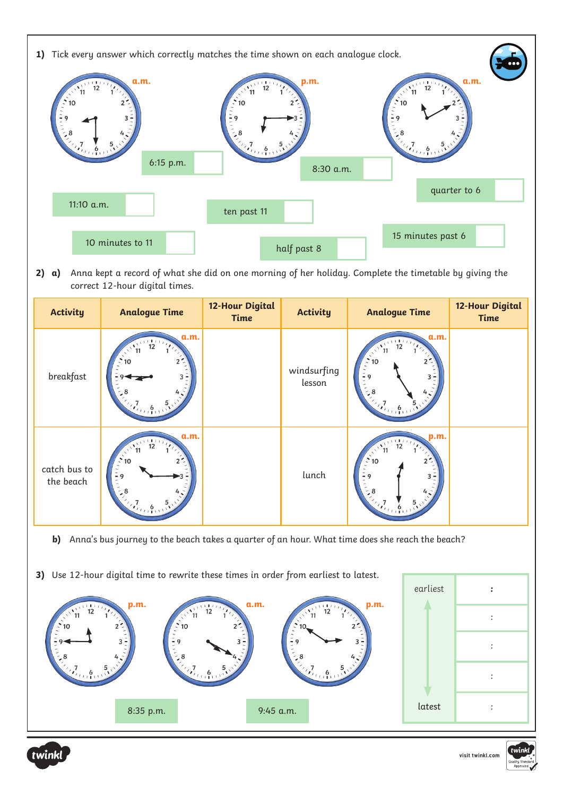

2) **a)** Anna kept a record of what she did on one morning of her holiday. Complete the timetable by giving the correct 12-hour digital times.

| <b>Activity</b>           | <b>Analogue Time</b>                                                                                                          | <b>12-Hour Digital</b><br>Time | <b>Activity</b>       | <b>Analogue Time</b>                                                                                                     | <b>12-Hour Digital</b><br><b>Time</b> |
|---------------------------|-------------------------------------------------------------------------------------------------------------------------------|--------------------------------|-----------------------|--------------------------------------------------------------------------------------------------------------------------|---------------------------------------|
| breakfast                 | a.m.<br>12<br>10<br>$3 -$<br>$\mathcal{L}_{\mathcal{D}_{\mathcal{D}}(1)}$                                                     |                                | windsurfing<br>lesson | a.m.<br>111<br>12<br>$\cdot$ 10<br>$-9$<br>$\mathcal{L}_{i}$<br>$\frac{5}{11}$                                           |                                       |
| catch bus to<br>the beach | a.m.<br>$\frac{1}{12}$<br>11<br>$\ddot{\phantom{1}}$ 10<br>$-9$<br>$\mathcal{L}_{\mathcal{D}_{\mathcal{D}_{\mathcal{D}}(1)}}$ |                                | lunch                 | p.m.<br>$\frac{1}{12}$<br>$\sqrt{11}$<br>$\ddot{\cdot}$ 10<br>$-9$<br>8<br>$\mathcal{L}_{i_{i+1},\mathbf{6},\mathbf{7}}$ |                                       |

- **b)** Anna's bus journey to the beach takes a quarter of an hour. What time does she reach the beach?
- **3)** Use 12-hour digital time to rewrite these times in order from earliest to latest.





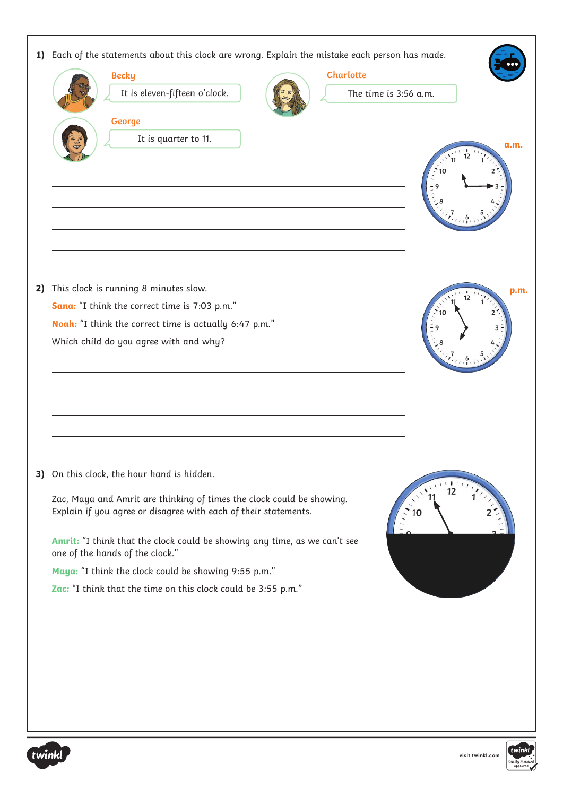| Each of the statements about this clock are wrong. Explain the mistake each person has made.<br><b>Charlotte</b><br><b>Becky</b><br>It is eleven-fifteen o'clock.<br>The time is 3:56 a.m.<br>George<br>It is quarter to 11.<br>a.m.<br>10                                                                                                                                                                                                                                                                |
|-----------------------------------------------------------------------------------------------------------------------------------------------------------------------------------------------------------------------------------------------------------------------------------------------------------------------------------------------------------------------------------------------------------------------------------------------------------------------------------------------------------|
| This clock is running 8 minutes slow.<br>p.m.<br>12<br>Sana: "I think the correct time is 7:03 p.m."<br>Noah: "I think the correct time is actually 6:47 p.m."<br>Which child do you agree with and why?                                                                                                                                                                                                                                                                                                  |
| 3) On this clock, the hour hand is hidden.<br>1111<br>$\mathcal{N}^{\mathcal{N}}$<br>12<br>Zac, Maya and Amrit are thinking of times the clock could be showing.<br>$\mathbf{u}_{\ell}$<br>Explain if you agree or disagree with each of their statements.<br>10<br>Amrit: "I think that the clock could be showing any time, as we can't see<br>one of the hands of the clock."<br>Maya: "I think the clock could be showing 9:55 p.m."<br>Zac: "I think that the time on this clock could be 3:55 p.m." |
|                                                                                                                                                                                                                                                                                                                                                                                                                                                                                                           |